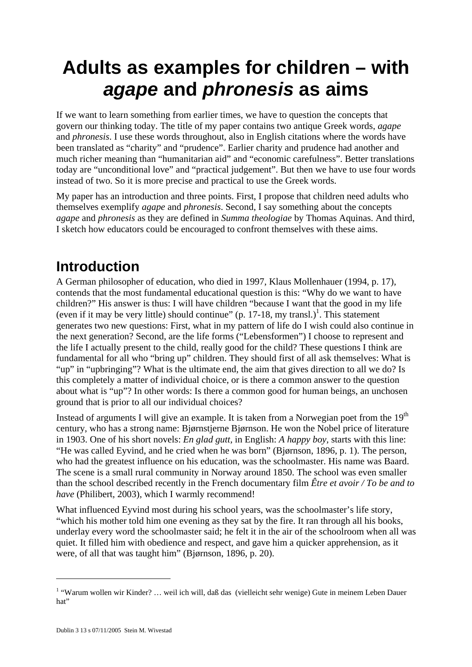# **Adults as examples for children – with**  *agape* **and** *phronesis* **as aims**

If we want to learn something from earlier times, we have to question the concepts that govern our thinking today. The title of my paper contains two antique Greek words, *agape*  and *phronesis*. I use these words throughout, also in English citations where the words have been translated as "charity" and "prudence". Earlier charity and prudence had another and much richer meaning than "humanitarian aid" and "economic carefulness". Better translations today are "unconditional love" and "practical judgement". But then we have to use four words instead of two. So it is more precise and practical to use the Greek words.

My paper has an introduction and three points. First, I propose that children need adults who themselves exemplify *agape* and *phronesis*. Second, I say something about the concepts *agape* and *phronesis* as they are defined in *Summa theologiae* by Thomas Aquinas. And third, I sketch how educators could be encouraged to confront themselves with these aims.

## **Introduction**

A German philosopher of education, who died in 1997, Klaus Mollenhauer (1994, p. 17), contends that the most fundamental educational question is this: "Why do we want to have children?" His answer is thus: I will have children "because I want that the good in my life (even if it may be very little) should continue" (p.  $17-18$  $17-18$ , my transl.)<sup>1</sup>. This statement generates two new questions: First, what in my pattern of life do I wish could also continue in the next generation? Second, are the life forms ("Lebensformen") I choose to represent and the life I actually present to the child, really good for the child? These questions I think are fundamental for all who "bring up" children. They should first of all ask themselves: What is "up" in "upbringing"? What is the ultimate end, the aim that gives direction to all we do? Is this completely a matter of individual choice, or is there a common answer to the question about what is "up"? In other words: Is there a common good for human beings, an unchosen ground that is prior to all our individual choices?

Instead of arguments I will give an example. It is taken from a Norwegian poet from the  $19<sup>th</sup>$ century, who has a strong name: Bjørnstjerne Bjørnson. He won the Nobel price of literature in 1903. One of his short novels: *En glad gutt,* in English: *A happy boy,* starts with this line: "He was called Eyvind, and he cried when he was born" (Bjørnson, 1896, p. 1). The person, who had the greatest influence on his education, was the schoolmaster. His name was Baard. The scene is a small rural community in Norway around 1850. The school was even smaller than the school described recently in the French documentary film *Être et avoir / To be and to have* (Philibert, 2003)*,* which I warmly recommend!

What influenced Eyvind most during his school years, was the schoolmaster's life story, "which his mother told him one evening as they sat by the fire. It ran through all his books, underlay every word the schoolmaster said; he felt it in the air of the schoolroom when all was quiet. It filled him with obedience and respect, and gave him a quicker apprehension, as it were, of all that was taught him" (Bjørnson, 1896, p. 20).

<span id="page-0-0"></span><sup>&</sup>lt;sup>1</sup> "Warum wollen wir Kinder? ... weil ich will, daß das (vielleicht sehr wenige) Gute in meinem Leben Dauer hat"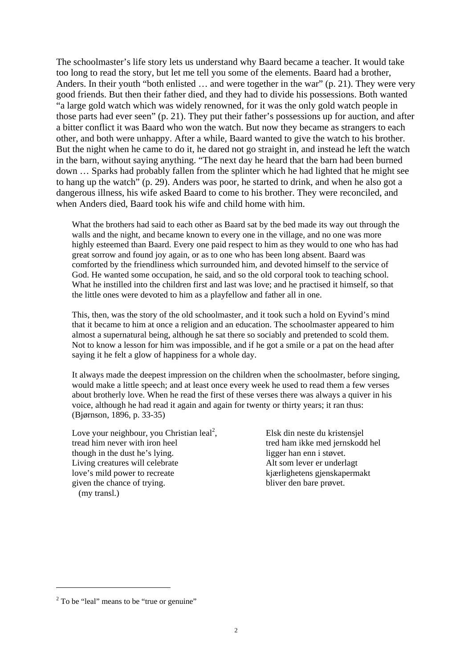The schoolmaster's life story lets us understand why Baard became a teacher. It would take too long to read the story, but let me tell you some of the elements. Baard had a brother, Anders. In their youth "both enlisted … and were together in the war" (p. 21). They were very good friends. But then their father died, and they had to divide his possessions. Both wanted "a large gold watch which was widely renowned, for it was the only gold watch people in those parts had ever seen" (p. 21). They put their father's possessions up for auction, and after a bitter conflict it was Baard who won the watch. But now they became as strangers to each other, and both were unhappy. After a while, Baard wanted to give the watch to his brother. But the night when he came to do it, he dared not go straight in, and instead he left the watch in the barn, without saying anything. "The next day he heard that the barn had been burned down … Sparks had probably fallen from the splinter which he had lighted that he might see to hang up the watch" (p. 29). Anders was poor, he started to drink, and when he also got a dangerous illness, his wife asked Baard to come to his brother. They were reconciled, and when Anders died, Baard took his wife and child home with him.

What the brothers had said to each other as Baard sat by the bed made its way out through the walls and the night, and became known to every one in the village, and no one was more highly esteemed than Baard. Every one paid respect to him as they would to one who has had great sorrow and found joy again, or as to one who has been long absent. Baard was comforted by the friendliness which surrounded him, and devoted himself to the service of God. He wanted some occupation, he said, and so the old corporal took to teaching school. What he instilled into the children first and last was love; and he practised it himself, so that the little ones were devoted to him as a playfellow and father all in one.

This, then, was the story of the old schoolmaster, and it took such a hold on Eyvind's mind that it became to him at once a religion and an education. The schoolmaster appeared to him almost a supernatural being, although he sat there so sociably and pretended to scold them. Not to know a lesson for him was impossible, and if he got a smile or a pat on the head after saying it he felt a glow of happiness for a whole day.

It always made the deepest impression on the children when the schoolmaster, before singing, would make a little speech; and at least once every week he used to read them a few verses about brotherly love. When he read the first of these verses there was always a quiver in his voice, although he had read it again and again for twenty or thirty years; it ran thus: (Bjørnson, 1896, p. 33-35)

Love your neighbour[,](#page-1-0) you Christian leal<sup>2</sup>, tread him never with iron heel though in the dust he's lying. Living creatures will celebrate love's mild power to recreate given the chance of trying. (my transl.)

Elsk din neste du kristensjel tred ham ikke med jernskodd hel ligger han enn i støvet. Alt som lever er underlagt kjærlighetens gjenskapermakt bliver den bare prøvet.

<span id="page-1-0"></span> $2^2$  To be "leal" means to be "true or genuine"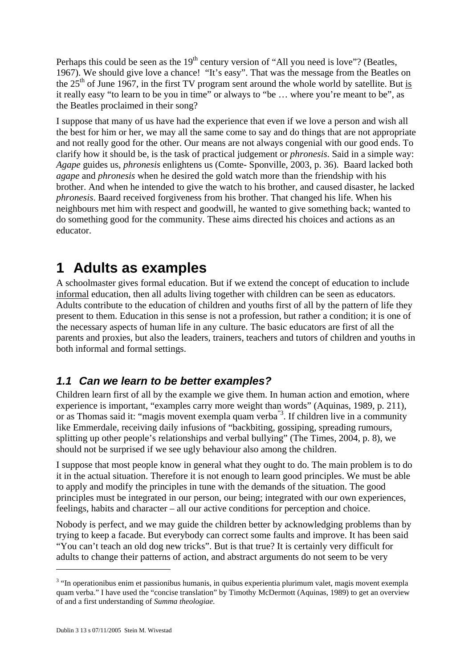Perhaps this could be seen as the  $19<sup>th</sup>$  century version of "All you need is love"? (Beatles, 1967). We should give love a chance! "It's easy". That was the message from the Beatles on the  $25<sup>th</sup>$  of June 1967, in the first TV program sent around the whole world by satellite. But is it really easy "to learn to be you in time" or always to "be … where you're meant to be", as the Beatles proclaimed in their song?

I suppose that many of us have had the experience that even if we love a person and wish all the best for him or her, we may all the same come to say and do things that are not appropriate and not really good for the other. Our means are not always congenial with our good ends. To clarify how it should be, is the task of practical judgement or *phronesis*. Said in a simple way: *Agape* guides us, *phronesis* enlightens us (Comte- Sponville, 2003, p. 36). Baard lacked both *agape* and *phronesis* when he desired the gold watch more than the friendship with his brother. And when he intended to give the watch to his brother, and caused disaster, he lacked *phronesis*. Baard received forgiveness from his brother. That changed his life. When his neighbours met him with respect and goodwill, he wanted to give something back; wanted to do something good for the community. These aims directed his choices and actions as an educator.

## **1 Adults as examples**

A schoolmaster gives formal education. But if we extend the concept of education to include informal education, then all adults living together with children can be seen as educators. Adults contribute to the education of children and youths first of all by the pattern of life they present to them. Education in this sense is not a profession, but rather a condition; it is one of the necessary aspects of human life in any culture. The basic educators are first of all the parents and proxies, but also the leaders, trainers, teachers and tutors of children and youths in both informal and formal settings.

## *1.1 Can we learn to be better examples?*

Children learn first of all by the example we give them. In human action and emotion, where experience is important, "examples carry more weight than words" (Aquinas, 1989, p. 211), or as Thomas said it: "magis movent exempla quam verba"[3.](#page-2-0) If children live in a community like Emmerdale, receiving daily infusions of "backbiting, gossiping, spreading rumours, splitting up other people's relationships and verbal bullying" (The Times, 2004, p. 8), we should not be surprised if we see ugly behaviour also among the children.

I suppose that most people know in general what they ought to do. The main problem is to do it in the actual situation. Therefore it is not enough to learn good principles. We must be able to apply and modify the principles in tune with the demands of the situation. The good principles must be integrated in our person, our being; integrated with our own experiences, feelings, habits and character – all our active conditions for perception and choice.

Nobody is perfect, and we may guide the children better by acknowledging problems than by trying to keep a facade. But everybody can correct some faults and improve. It has been said "You can't teach an old dog new tricks". But is that true? It is certainly very difficult for adults to change their patterns of action, and abstract arguments do not seem to be very

<span id="page-2-0"></span><sup>&</sup>lt;sup>3</sup> "In operationibus enim et passionibus humanis, in quibus experientia plurimum valet, magis movent exempla quam verba." I have used the "concise translation" by Timothy McDermott (Aquinas, 1989) to get an overview of and a first understanding of *Summa theologiae*.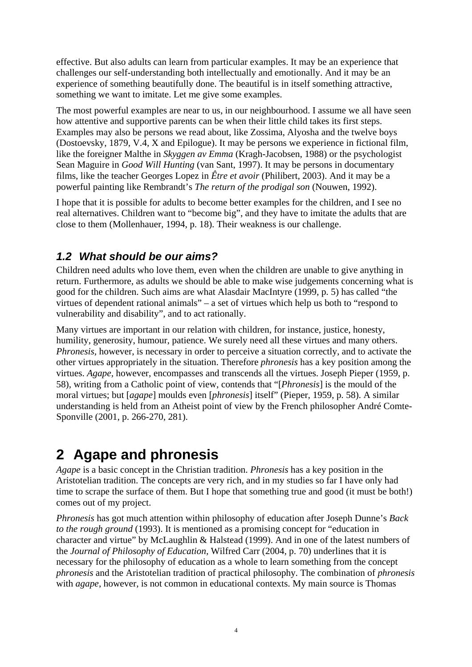effective. But also adults can learn from particular examples. It may be an experience that challenges our self-understanding both intellectually and emotionally. And it may be an experience of something beautifully done. The beautiful is in itself something attractive, something we want to imitate. Let me give some examples.

The most powerful examples are near to us, in our neighbourhood. I assume we all have seen how attentive and supportive parents can be when their little child takes its first steps. Examples may also be persons we read about, like Zossima, Alyosha and the twelve boys (Dostoevsky, 1879, V.4, X and Epilogue). It may be persons we experience in fictional film, like the foreigner Malthe in *Skyggen av Emma* (Kragh-Jacobsen, 1988) or the psychologist Sean Maguire in *Good Will Hunting* (van Sant, 1997). It may be persons in documentary films, like the teacher Georges Lopez in *Être et avoir* (Philibert, 2003). And it may be a powerful painting like Rembrandt's *The return of the prodigal son* (Nouwen, 1992).

I hope that it is possible for adults to become better examples for the children, and I see no real alternatives. Children want to "become big", and they have to imitate the adults that are close to them (Mollenhauer, 1994, p. 18). Their weakness is our challenge.

### *1.2 What should be our aims?*

Children need adults who love them, even when the children are unable to give anything in return. Furthermore, as adults we should be able to make wise judgements concerning what is good for the children. Such aims are what Alasdair MacIntyre (1999, p. 5) has called "the virtues of dependent rational animals" – a set of virtues which help us both to "respond to vulnerability and disability", and to act rationally.

Many virtues are important in our relation with children, for instance, justice, honesty, humility, generosity, humour, patience. We surely need all these virtues and many others. *Phronesis, however, is necessary in order to perceive a situation correctly, and to activate the* other virtues appropriately in the situation. Therefore *phronesis* has a key position among the virtues. *Agape,* however, encompasses and transcends all the virtues. Joseph Pieper (1959, p. 58), writing from a Catholic point of view, contends that "[*Phronesis*] is the mould of the moral virtues; but [*agape*] moulds even [*phronesis*] itself" (Pieper, 1959, p. 58). A similar understanding is held from an Atheist point of view by the French philosopher André Comte-Sponville (2001, p. 266-270, 281).

## **2 Agape and phronesis**

*Agape* is a basic concept in the Christian tradition. *Phronesis* has a key position in the Aristotelian tradition. The concepts are very rich, and in my studies so far I have only had time to scrape the surface of them. But I hope that something true and good (it must be both!) comes out of my project.

*Phronesis* has got much attention within philosophy of education after Joseph Dunne's *Back to the rough ground* (1993). It is mentioned as a promising concept for "education in character and virtue" by McLaughlin & Halstead (1999). And in one of the latest numbers of the *Journal of Philosophy of Education,* Wilfred Carr (2004, p. 70) underlines that it is necessary for the philosophy of education as a whole to learn something from the concept *phronesis* and the Aristotelian tradition of practical philosophy. The combination of *phronesis* with *agape*, however, is not common in educational contexts. My main source is Thomas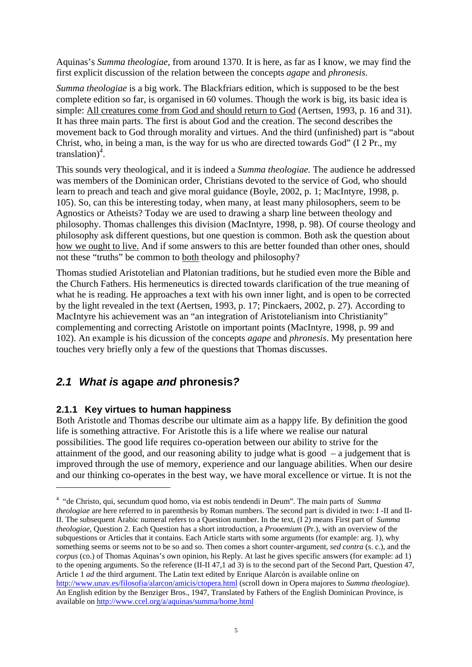Aquinas's *Summa theologiae*, from around 1370. It is here, as far as I know, we may find the first explicit discussion of the relation between the concepts *agape* and *phronesis*.

*Summa theologiae* is a big work. The Blackfriars edition, which is supposed to be the best complete edition so far, is organised in 60 volumes. Though the work is big, its basic idea is simple: All creatures come from God and should return to God (Aertsen, 1993, p. 16 and 31). It has three main parts. The first is about God and the creation. The second describes the movement back to God through morality and virtues. And the third (unfinished) part is "about Christ, who, in being a man, is the way for us who are directed towards God" (I 2 Pr., my translation)<sup>[4](#page-4-0)</sup>.

This sounds very theological, and it is indeed a *Summa theologiae.* The audience he addressed was members of the Dominican order, Christians devoted to the service of God, who should learn to preach and teach and give moral guidance (Boyle, 2002, p. 1; MacIntyre, 1998, p. 105). So, can this be interesting today, when many, at least many philosophers, seem to be Agnostics or Atheists? Today we are used to drawing a sharp line between theology and philosophy. Thomas challenges this division (MacIntyre, 1998, p. 98). Of course theology and philosophy ask different questions, but one question is common. Both ask the question about how we ought to live. And if some answers to this are better founded than other ones, should not these "truths" be common to both theology and philosophy?

Thomas studied Aristotelian and Platonian traditions, but he studied even more the Bible and the Church Fathers. His hermeneutics is directed towards clarification of the true meaning of what he is reading. He approaches a text with his own inner light, and is open to be corrected by the light revealed in the text (Aertsen, 1993, p. 17; Pinckaers, 2002, p. 27). According to MacIntyre his achievement was an "an integration of Aristotelianism into Christianity" complementing and correcting Aristotle on important points (MacIntyre, 1998, p. 99 and 102). An example is his dicussion of the concepts *agape* and *phronesis*. My presentation here touches very briefly only a few of the questions that Thomas discusses.

## *2.1 What is* **agape** *and* **phronesis***?*

#### **2.1.1 Key virtues to human happiness**

 $\overline{a}$ 

Both Aristotle and Thomas describe our ultimate aim as a happy life. By definition the good life is something attractive. For Aristotle this is a life where we realise our natural possibilities. The good life requires co-operation between our ability to strive for the attainment of the good, and our reasoning ability to judge what is good  $-$  a judgement that is improved through the use of memory, experience and our language abilities. When our desire and our thinking co-operates in the best way, we have moral excellence or virtue. It is not the

<span id="page-4-0"></span><sup>4</sup> "de Christo, qui, secundum quod homo, via est nobis tendendi in Deum". The main parts of *Summa theologiae* are here referred to in parenthesis by Roman numbers. The second part is divided in two: I -II and II-II. The subsequent Arabic numeral refers to a Question number. In the text, (I 2) means First part of *Summa theologiae*, Question 2. Each Question has a short introduction, a *Prooemium* (Pr.), with an overview of the subquestions or Articles that it contains. Each Article starts with some arguments (for example: arg. 1), why something seems or seems not to be so and so. Then comes a short counter-argument, *sed contra* (s. c.), and the *corpus* (co.) of Thomas Aquinas's own opinion, his Reply. At last he gives specific answers (for example: ad 1) to the opening arguments. So the reference (II-II 47,1 ad 3) is to the second part of the Second Part, Question 47, Article 1 *ad* the third argument. The Latin text edited by [Enrique Alarcón](http://www.unav.es/filosofia/alarcon/) is available online on <http://www.unav.es/filosofia/alarcon/amicis/ctopera.html> (scroll down in Opera majores to *Summa theologiae*). An English edition by the Benziger Bros., 1947, Translated by Fathers of the English Dominican Province, is available on<http://www.ccel.org/a/aquinas/summa/home.html>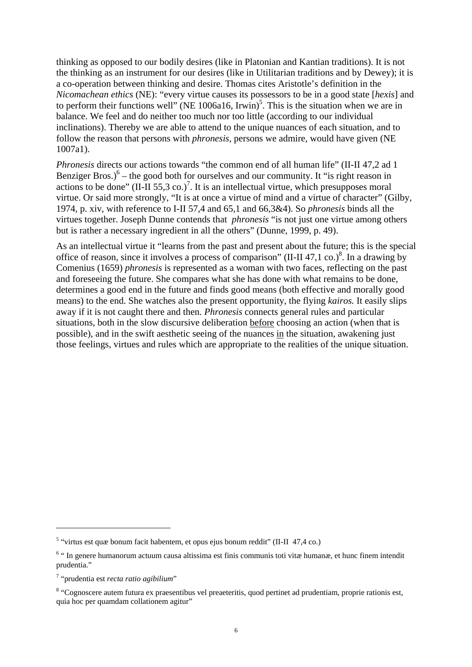thinking as opposed to our bodily desires (like in Platonian and Kantian traditions). It is not the thinking as an instrument for our desires (like in Utilitarian traditions and by Dewey); it is a co-operation between thinking and desire. Thomas cites Aristotle's definition in the *Nicomachean ethics* (NE): "every virtue causes its possessors to be in a good state [*hexis*] and to perform their functions well" (NE 1006a16, Irwin)<sup>[5](#page-5-0)</sup>. This is the situation when we are in balance. We feel and do neither too much nor too little (according to our individual inclinations). Thereby we are able to attend to the unique nuances of each situation, and to follow the reason that persons with *phronesis,* persons we admire, would have given (NE 1007a1).

*Phronesis* directs our actions towards "the common end of all human life" (II-II 47,2 ad 1 Benziger Bros.) $6$  – the good both for ourselves and our community. It "is right reason in actions to be done" (II-II 55,3 co.)<sup>[7](#page-5-2)</sup>. It is an intellectual virtue, which presupposes moral virtue. Or said more strongly, "It is at once a virtue of mind and a virtue of character" (Gilby, 1974, p. xiv, with reference to I-II 57,4 and 65,1 and 66,3&4). So *phronesis* binds all the virtues together. Joseph Dunne contends that *phronesis* "is not just one virtue among others but is rather a necessary ingredient in all the others" (Dunne, 1999, p. 49).

As an intellectual virtue it "learns from the past and present about the future; this is the special office of reason, since it involves a process of comparison"  $(II-H 47, 1 \text{ co.})^8$  $(II-H 47, 1 \text{ co.})^8$ . In a drawing by Comenius (1659) *phronesis* is represented as a woman with two faces, reflecting on the past and foreseeing the future. She compares what she has done with what remains to be done, determines a good end in the future and finds good means (both effective and morally good means) to the end. She watches also the present opportunity, the flying *kairos.* It easily slips away if it is not caught there and then. *Phronesis* connects general rules and particular situations, both in the slow discursive deliberation before choosing an action (when that is possible), and in the swift aesthetic seeing of the nuances in the situation, awakening just those feelings, virtues and rules which are appropriate to the realities of the unique situation.

<span id="page-5-0"></span><sup>&</sup>lt;sup>5</sup> "virtus est quæ bonum facit habentem, et opus ejus bonum reddit" (II-II 47,4 co.)

<span id="page-5-1"></span><sup>&</sup>lt;sup>6</sup> "In genere humanorum actuum causa altissima est finis communis toti vitæ humanæ, et hunc finem intendit prudentia."

<span id="page-5-2"></span><sup>7</sup> "prudentia est *recta ratio agibilium*"

<span id="page-5-3"></span><sup>&</sup>lt;sup>8</sup> "Cognoscere autem futura ex praesentibus vel preaeteritis, quod pertinet ad prudentiam, proprie rationis est, quia hoc per quamdam collationem agitur"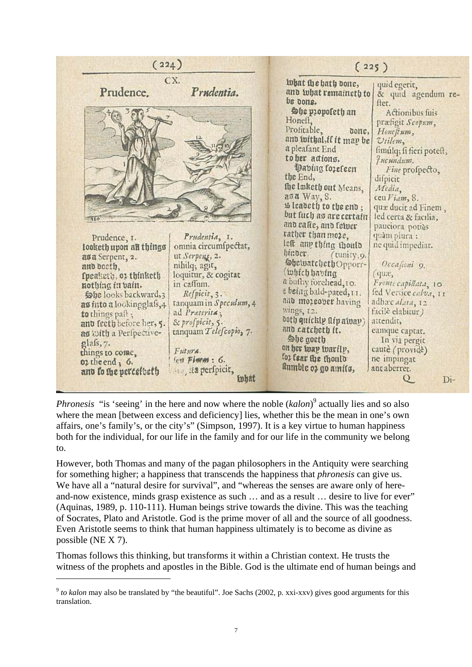| (224)                                                                                                                                                                                                                                                                                                                                      |                                                                                                                                                                                                                                                                                   | (225)                                                                                                                                                                                                                                                                                                                                                                                                                                       |                                                                                                                                                                                                                                                                                                                                                           |
|--------------------------------------------------------------------------------------------------------------------------------------------------------------------------------------------------------------------------------------------------------------------------------------------------------------------------------------------|-----------------------------------------------------------------------------------------------------------------------------------------------------------------------------------------------------------------------------------------------------------------------------------|---------------------------------------------------------------------------------------------------------------------------------------------------------------------------------------------------------------------------------------------------------------------------------------------------------------------------------------------------------------------------------------------------------------------------------------------|-----------------------------------------------------------------------------------------------------------------------------------------------------------------------------------------------------------------------------------------------------------------------------------------------------------------------------------------------------------|
| CX.<br>Prudence.                                                                                                                                                                                                                                                                                                                           | Prudentia.                                                                                                                                                                                                                                                                        | what the hath done,<br>and what remaineth to<br>be bons.<br>hie propoleth an<br>Honeft,<br>Profitable,<br>donc,<br>and withal, if it map be<br>a pleafant End<br>to her actions.<br>Dabing forefeen<br>the End,<br>the lasketh out Means,                                                                                                                                                                                                   | quid egerit,<br>& quid agendum re-<br>ftet.<br>Actionibus fuis<br>præfigit Scopum,<br>Honeftum,<br>Utilem,<br>fimulq; fi fieri poteft,<br><i>Hucundum.</i><br>Fine profpecto,<br>difpicit<br>Media,                                                                                                                                                       |
| Prudence, 1.<br>looketh upon all things<br>asa Serpent, 2.<br>and boeth,<br>fpeaketh, or thinketh<br>nothing in bain.<br>Sobe looks backward, 3<br>as into a lookingglafs,4<br>to things paft;<br>and feeth before her, 5.<br>as with a Peripective-<br>$g$ lafs, $7$ .<br>things to come,<br>$02$ the end $3$ 6.<br>and to the perceiveth | Prudentia, I.<br>omnia circumfpectat,<br>ut Serpens, 2.<br>nihilq; agit,<br>loquitur, & cogitat<br>in caffum.<br>Refpicit, 3.<br>tanquam in Speculum, 4<br>ad Preterita;<br>& profpicit, 5.<br>tanquam Telefcopio, 7.<br>Futura.<br>fett Fimm : 6.<br>and its perfpicit,<br>inhat | аза Way, 8.<br><i>sh leadeth to the end;</i><br>but fuch as are certain<br>and eafte, and felver<br>rather than moze,<br>lest amp thing should<br>hinder.<br>(tunity, 9.<br>She watcheth Opporr-<br>(which having<br>a bufby forehead, 10.<br>e being bald-pated, 11.<br>and moreover having<br>wings, 12.<br>both quickly aip alvay)<br>and catcheth it.<br>She goeth<br>on her way warily,<br>for fear the thould<br>ltumble 03 go amils, | $\text{ceu}$ Viam, 8.<br>qua ducit ad Finem,<br>led certa & facilia,<br>pauciora potràs<br>quàm piura :<br>ne quid impediat.<br>Occasioni 9.<br>qux<br>Fronte capillata, 10<br>fed Vertice calva, 11<br>adhac alata, 12<br>facilè elabitur)<br>attendit,<br>eamque captat.<br>In via pergit<br>cauté (providé)<br>ne impingat<br>aut aberret.<br>Di-<br>Q |

*Phronesis* "is 'seeing' in the here and now where the noble (*kalon*) 9 actually lies and so also where the mean [between excess and deficiency] lies, whether this [be](#page-6-0) the mean in one's own affairs, one's family's, or the city's" (Simpson, 1997). It is a key virtue to human happiness both for the individual, for our life in the family and for our life in the community we belong to.

However, both Thomas and many of the pagan philosophers in the Antiquity were searching for something higher; a happiness that transcends the happiness that *phronesis* can give us. We have all a "natural desire for survival", and "whereas the senses are aware only of hereand-now existence, minds grasp existence as such … and as a result … desire to live for ever" (Aquinas, 1989, p. 110-111). Human beings strive towards the divine. This was the teaching of Socrates, Plato and Aristotle. God is the prime mover of all and the source of all goodness. Even Aristotle seems to think that human happiness ultimately is to become as divine as possible (NE X 7).

Thomas follows this thinking, but transforms it within a Christian context. He trusts the witness of the prophets and apostles in the Bible. God is the ultimate end of human beings and

<span id="page-6-0"></span><sup>9</sup> *to kalon* may also be translated by "the beautiful". Joe Sachs (2002, p. xxi-xxv) gives good arguments for this translation.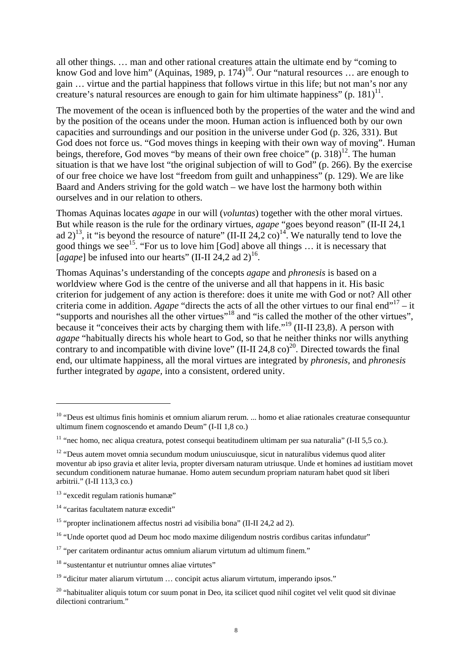all other things. … man and other rational creatures attain the ultimate end by "coming to know God and love him" (Aquinas, 1989, p. 174)<sup>10</sup>. Our "natural resources  $\ldots$  are enough to gain … virtue and the partial happiness that follo[ws](#page-7-0) virtue in this life; but not man's nor any creature's natural resources are enough to gain for him ultimate happiness" (p. 181)<sup>11</sup>.

The movement of the ocean is influenced both by the properties of the water and th[e w](#page-7-1)ind and by the position of the oceans under the moon. Human action is influenced both by our own capacities and surroundings and our position in the universe under God (p. 326, 331). But God does not force us. "God moves things in keeping with their own way of moving". Human beings, therefore, God moves "by means of their own free choice"  $(p. 318)^{12}$ . The human situation is that we have lost "the original subjection of will to God" (p. 26[6\).](#page-7-2) By the exercise of our free choice we have lost "freedom from guilt and unhappiness" (p. 129). We are like Baard and Anders striving for the gold watch – we have lost the harmony both within ourselves and in our relation to others.

Thomas Aquinas locates *agape* in our will (*voluntas*) together with the other moral virtues. But while reason is the rule for the ordinary virtues, *agape* "goes beyond reason" (II-II 24,1 ad 2)<sup>13</sup>, it "is beyond the resource of nature" (II-II 24,2 co)<sup>14</sup>. We naturally tend to love the good [th](#page-7-3)ings we see15. "For us to love him [God] above all [thin](#page-7-4)gs … it is necessary that [ $agape$ ] be infused [int](#page-7-5)o our hearts" (II-II 24,2 ad 2)<sup>16</sup>.

Thomas Aquinas's understanding of the concepts *a[ga](#page-7-6)pe* and *phronesis* is based on a worldview where God is the centre of the universe and all that happens in it. His basic criterion for judgement of any action is therefore: does it unite me with God or not? All other criteria come in addition. Agape "directs the acts of all the other virtues to our final end"<sup>17</sup> – it "supports and nourishes all the other virtues"18 and "is called the mother of the other virt[ues](#page-7-7)", because it "conceives their acts by charging t[hem](#page-7-8) with life."<sup>19</sup> (II-II 23,8). A person with *agape* "habitually directs his whole heart to God, so that he [nei](#page-7-9)ther thinks nor wills anything contrary to and incompatible with divine love" (II-II 24,8 co)<sup>20</sup>. Directed towards the final end, our ultimate happiness, all the moral virtues are integrat[ed](#page-7-10) by *phronesis,* and *phronesis* further integrated by *agape,* into a consistent, ordered unity.

<span id="page-7-0"></span><sup>10 &</sup>quot;Deus est ultimus finis hominis et omnium aliarum rerum. ... homo et aliae rationales creaturae consequuntur ultimum finem cognoscendo et amando Deum" (I-II 1,8 co.)

<span id="page-7-1"></span><sup>&</sup>lt;sup>11</sup> "nec homo, nec aliqua creatura, potest consequi beatitudinem ultimam per sua naturalia" (I-II 5,5 co.).

<span id="page-7-2"></span><sup>&</sup>lt;sup>12</sup> "Deus autem movet omnia secundum modum uniuscuiusque, sicut in naturalibus videmus quod aliter moventur ab ipso gravia et aliter levia, propter diversam naturam utriusque. Unde et homines ad iustitiam movet secundum conditionem naturae humanae. Homo autem secundum propriam naturam habet quod sit liberi arbitrii." (I-II 113,3 co.)

<span id="page-7-3"></span><sup>&</sup>lt;sup>13</sup> "excedit regulam rationis humanæ"

<span id="page-7-4"></span><sup>14 &</sup>quot;caritas facultatem naturæ excedit"

<span id="page-7-5"></span><sup>&</sup>lt;sup>15</sup> "propter inclinationem affectus nostri ad visibilia bona" (II-II 24.2 ad 2).

<span id="page-7-6"></span><sup>&</sup>lt;sup>16</sup> "Unde oportet quod ad Deum hoc modo maxime diligendum nostris cordibus caritas infundatur"

<span id="page-7-7"></span> $17$  "per caritatem ordinantur actus omnium aliarum virtutum ad ultimum finem."

<span id="page-7-8"></span><sup>18 &</sup>quot;sustentantur et nutriuntur omnes aliae virtutes"

<span id="page-7-9"></span><sup>&</sup>lt;sup>19</sup> "dicitur mater aliarum virtutum ... concipit actus aliarum virtutum, imperando ipsos."

<span id="page-7-10"></span><sup>&</sup>lt;sup>20</sup> "habitualiter aliquis totum cor suum ponat in Deo, ita scilicet quod nihil cogitet vel velit quod sit divinae dilectioni contrarium."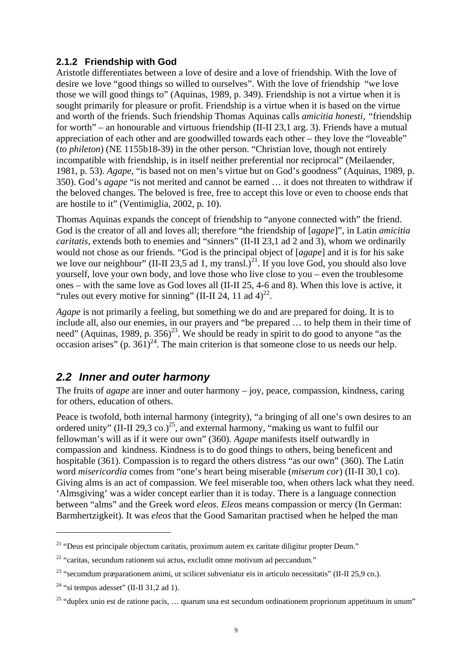#### **2.1.2 Friendship with God**

Aristotle differentiates between a love of desire and a love of friendship. With the love of desire we love "good things so willed to ourselves". With the love of friendship "we love those we will good things to" (Aquinas, 1989, p. 349). Friendship is not a virtue when it is sought primarily for pleasure or profit. Friendship is a virtue when it is based on the virtue and worth of the friends. Such friendship Thomas Aquinas calls *amicitia honesti, "*friendship for worth" – an honourable and virtuous friendship (II-II 23,1 arg. 3). Friends have a mutual appreciation of each other and are goodwilled towards each other – they love the "loveable" (*to phileton*) (NE 1155b18-39) in the other person. "Christian love, though not entirely incompatible with friendship, is in itself neither preferential nor reciprocal" (Meilaender, 1981, p. 53). *Agape*, "is based not on men's virtue but on God's goodness" (Aquinas, 1989, p. 350). God's *agape* "is not merited and cannot be earned … it does not threaten to withdraw if the beloved changes. The beloved is free, free to accept this love or even to choose ends that are hostile to it" (Ventimiglia, 2002, p. 10).

Thomas Aquinas expands the concept of friendship to "anyone connected with" the friend. God is the creator of all and loves all; therefore "the friendship of [*agape*]", in Latin *amicitia caritatis,* extends both to enemies and "sinners" (II-II 23,1 ad 2 and 3), whom we ordinarily would not chose as our friends. "God is the principal object of [*agape*] and it is for his sake we love our neighbour" (II-II 23,5 ad 1, my transl.)<sup>21</sup>. If you love God, you should also love yourself, love your own body, and love those who live close to you – even the troublesome ones – with the same love as God loves all (II-II 25, 4-6 and 8). When this love is active, it "rules out every motive for sinning" (II-II 24, 11 ad  $4^{22}$ .

*Agape* is not primarily a feeling, but something we do and are prepared for doing. It is to include all, also our enemies, in our prayers and "be prepared … to help them in their time of need" (Aquinas, 1989, p. 356)<sup>23</sup>. We should be ready in spirit to do good to anyone "as the occasion arises" (p.  $361)^{24}$ . The main criterion is that someone close to us needs our help.

#### *2.2 Inner and outer harmony*

The fruits of *agape* are inner and outer harmony – joy, peace, compassion, kindness, caring for others, education of others.

Peace is twofold, both internal harmony (integrity), "a bringing of all one's own desires to an ordered unity" (II-II 29,3 co.)<sup>25</sup>, and external harmony, "making us want to fulfil our fellowman's will as if it were our own" (360). *Agape* manifests itself outwardly in compassion and kindness. Kindness is to do good things to others, being beneficent and hospitable (361). Compassion is to regard the others distress "as our own" (360). The Latin word *misericordia* comes from "one's heart being miserable (*miserum cor*) (II-II 30,1 co). Giving alms is an act of compassion. We feel miserable too, when others lack what they need. 'Almsgiving' was a wider concept earlier than it is today. There is a language connection between "alms" and the Greek word *eleos. Eleos* means compassion or mercy (In German: Barmhertzigkeit). It was *eleos* that the Good Samaritan practised when he helped the man

<span id="page-8-0"></span><sup>&</sup>lt;sup>21</sup> "Deus est principale objectum caritatis, proximum autem ex caritate diligitur propter Deum."

<span id="page-8-1"></span> $22$  "caritas, secundum rationem sui actus, excludit omne motivum ad peccandum."

<span id="page-8-2"></span><sup>&</sup>lt;sup>23</sup> "secumdum præparationem animi, ut scilicet subveniatur eis in articulo necessitatis" (II-II 25,9 co.).

<span id="page-8-3"></span><sup>&</sup>lt;sup>24</sup> "si tempus adesset" (II-II 31,2 ad 1).

<span id="page-8-4"></span><sup>&</sup>lt;sup>25</sup> "duplex unio est de ratione pacis, ... quarum una est secundum ordinationem propriorum appetituum in unum"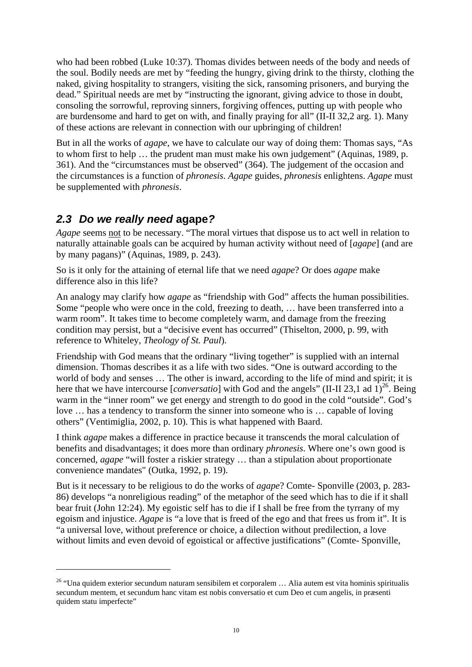who had been robbed (Luke 10:37). Thomas divides between needs of the body and needs of the soul. Bodily needs are met by "feeding the hungry, giving drink to the thirsty, clothing the naked, giving hospitality to strangers, visiting the sick, ransoming prisoners, and burying the dead." Spiritual needs are met by "instructing the ignorant, giving advice to those in doubt, consoling the sorrowful, reproving sinners, forgiving offences, putting up with people who are burdensome and hard to get on with, and finally praying for all" (II-II 32,2 arg. 1). Many of these actions are relevant in connection with our upbringing of children!

But in all the works of *agape*, we have to calculate our way of doing them: Thomas says, "As to whom first to help … the prudent man must make his own judgement" (Aquinas, 1989, p. 361). And the "circumstances must be observed" (364). The judgement of the occasion and the circumstances is a function of *phronesis*. *Agape* guides, *phronesis* enlightens. *Agape* must be supplemented with *phronesis*.

## *2.3 Do we really need* **agape***?*

 $\overline{a}$ 

*Agape* seems not to be necessary. "The moral virtues that dispose us to act well in relation to naturally attainable goals can be acquired by human activity without need of [*agape*] (and are by many pagans)" (Aquinas, 1989, p. 243).

So is it only for the attaining of eternal life that we need *agape*? Or does *agape* make difference also in this life?

An analogy may clarify how *agape* as "friendship with God" affects the human possibilities. Some "people who were once in the cold, freezing to death, … have been transferred into a warm room". It takes time to become completely warm, and damage from the freezing condition may persist, but a "decisive event has occurred" (Thiselton, 2000, p. 99, with reference to Whiteley, *Theology of St. Paul*).

Friendship with God means that the ordinary "living together" is supplied with an internal dimension. Thomas describes it as a life with two sides. "One is outward according to the world of body and senses … The other is inward, according to the life of mind and spirit; it is here that we have intercourse [*conversatio*] with God and the angels" (II-II 23,1 ad  $1$ )<sup>26</sup>. Being warm in the "inner room" we get energy and strength to do good in the cold "outside". God's love … has a tendency to transform the sinner into someone who is … capable of loving others" (Ventimiglia, 2002, p. 10). This is what happened with Baard.

I think *agape* makes a difference in practice because it transcends the moral calculation of benefits and disadvantages; it does more than ordinary *phronesis*. Where one's own good is concerned, *agape* "will foster a riskier strategy … than a stipulation about proportionate convenience mandates" (Outka, 1992, p. 19).

But is it necessary to be religious to do the works of *agape*? Comte- Sponville (2003, p. 283- 86) develops "a nonreligious reading" of the metaphor of the seed which has to die if it shall bear fruit (John 12:24). My egoistic self has to die if I shall be free from the tyrrany of my egoism and injustice. *Agape* is "a love that is freed of the ego and that frees us from it". It is "a universal love, without preference or choice, a dilection without predilection, a love without limits and even devoid of egoistical or affective justifications" (Comte- Sponville,

<span id="page-9-0"></span><sup>&</sup>lt;sup>26</sup> "Una quidem exterior secundum naturam sensibilem et corporalem ... Alia autem est vita hominis spiritualis secundum mentem, et secundum hanc vitam est nobis conversatio et cum Deo et cum angelis, in præsenti quidem statu imperfecte"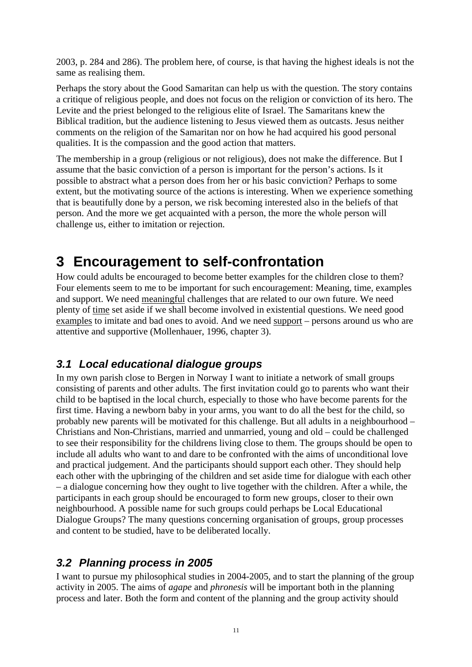2003, p. 284 and 286). The problem here, of course, is that having the highest ideals is not the same as realising them.

Perhaps the story about the Good Samaritan can help us with the question. The story contains a critique of religious people, and does not focus on the religion or conviction of its hero. The Levite and the priest belonged to the religious elite of Israel. The Samaritans knew the Biblical tradition, but the audience listening to Jesus viewed them as outcasts. Jesus neither comments on the religion of the Samaritan nor on how he had acquired his good personal qualities. It is the compassion and the good action that matters.

The membership in a group (religious or not religious), does not make the difference. But I assume that the basic conviction of a person is important for the person's actions. Is it possible to abstract what a person does from her or his basic conviction? Perhaps to some extent, but the motivating source of the actions is interesting. When we experience something that is beautifully done by a person, we risk becoming interested also in the beliefs of that person. And the more we get acquainted with a person, the more the whole person will challenge us, either to imitation or rejection.

## **3 Encouragement to self-confrontation**

How could adults be encouraged to become better examples for the children close to them? Four elements seem to me to be important for such encouragement: Meaning, time, examples and support. We need meaningful challenges that are related to our own future. We need plenty of time set aside if we shall become involved in existential questions. We need good examples to imitate and bad ones to avoid. And we need support – persons around us who are attentive and supportive (Mollenhauer, 1996, chapter 3).

### *3.1 Local educational dialogue groups*

In my own parish close to Bergen in Norway I want to initiate a network of small groups consisting of parents and other adults. The first invitation could go to parents who want their child to be baptised in the local church, especially to those who have become parents for the first time. Having a newborn baby in your arms, you want to do all the best for the child, so probably new parents will be motivated for this challenge. But all adults in a neighbourhood – Christians and Non-Christians, married and unmarried, young and old – could be challenged to see their responsibility for the childrens living close to them. The groups should be open to include all adults who want to and dare to be confronted with the aims of unconditional love and practical judgement. And the participants should support each other. They should help each other with the upbringing of the children and set aside time for dialogue with each other – a dialogue concerning how they ought to live together with the children. After a while, the participants in each group should be encouraged to form new groups, closer to their own neighbourhood. A possible name for such groups could perhaps be Local Educational Dialogue Groups? The many questions concerning organisation of groups, group processes and content to be studied, have to be deliberated locally.

### *3.2 Planning process in 2005*

I want to pursue my philosophical studies in 2004-2005, and to start the planning of the group activity in 2005. The aims of *agape* and *phronesis* will be important both in the planning process and later. Both the form and content of the planning and the group activity should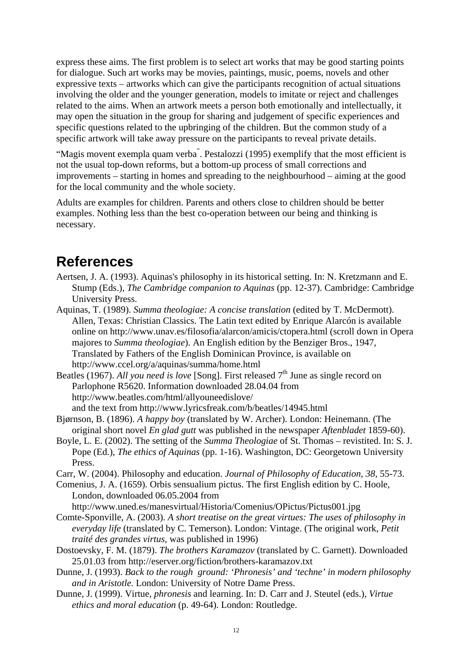express these aims. The first problem is to select art works that may be good starting points for dialogue. Such art works may be movies, paintings, music, poems, novels and other expressive texts – artworks which can give the participants recognition of actual situations involving the older and the younger generation, models to imitate or reject and challenges related to the aims. When an artwork meets a person both emotionally and intellectually, it may open the situation in the group for sharing and judgement of specific experiences and specific questions related to the upbringing of the children. But the common study of a specific artwork will take away pressure on the participants to reveal private details.

"Magis movent exempla quam verba" . Pestalozzi (1995) exemplify that the most efficient is not the usual top-down reforms, but a bottom-up process of small corrections and improvements – starting in homes and spreading to the neighbourhood – aiming at the good for the local community and the whole society.

Adults are examples for children. Parents and others close to children should be better examples. Nothing less than the best co-operation between our being and thinking is necessary.

## **References**

- Aertsen, J. A. (1993). Aquinas's philosophy in its historical setting. In: N. Kretzmann and E. Stump (Eds.), *The Cambridge companion to Aquinas* (pp. 12-37). Cambridge: Cambridge University Press.
- Aquinas, T. (1989). *Summa theologiae: A concise translation* (edited by T. McDermott). Allen, Texas: Christian Classics. The Latin text edited by [Enrique Alarcón](http://www.unav.es/filosofia/alarcon/) is available online on <http://www.unav.es/filosofia/alarcon/amicis/ctopera.html> (scroll down in Opera majores to *Summa theologiae*). An English edition by the Benziger Bros., 1947, Translated by Fathers of the English Dominican Province, is available on <http://www.ccel.org/a/aquinas/summa/home.html>

Beatles (1967). *All you need is love* [Song]. First released 7<sup>th</sup> June as single record on Parlophone R5620. Information downloaded 28.04.04 from http://www.beatles.com/html/allyouneedislove/ and the text from http://www.lyricsfreak.com/b/beatles/14945.html

- Bjørnson, B. (1896). *A happy boy* (translated by W. Archer). London: Heinemann. (The original short novel *En glad gutt* was published in the newspaper *Aftenbladet* 1859-60).
- Boyle, L. E. (2002). The setting of the *Summa Theologiae* of St. Thomas revistited. In: S. J. Pope (Ed.), *The ethics of Aquinas* (pp. 1-16). Washington, DC: Georgetown University Press.
- Carr, W. (2004). Philosophy and education. *Journal of Philosophy of Education, 38,* 55-73.

Comenius, J. A. (1659). Orbis sensualium pictus. The first English edition by C. Hoole, London, downloaded 06.05.2004 from

<http://www.uned.es/manesvirtual/Historia/Comenius/OPictus/Pictus001.jpg>

- Comte-Sponville, A. (2003). *A short treatise on the great virtues: The uses of philosophy in everyday life* (translated by C. Temerson)*.* London: Vintage. (The original work, *Petit traité des grandes virtus,* was published in 1996)
- Dostoevsky, F. M. (1879). *The brothers Karamazov* (translated by C. Garnett). Downloaded 25.01.03 from<http://eserver.org/fiction/brothers-karamazov.txt>
- Dunne, J. (1993). *Back to the rough ground: 'Phronesis' and 'techne' in modern philosophy and in Aristotle.* London: University of Notre Dame Press.
- Dunne, J. (1999). Virtue, *phronesis* and learning. In: D. Carr and J. Steutel (eds.), *Virtue ethics and moral education* (p. 49-64). London: Routledge.